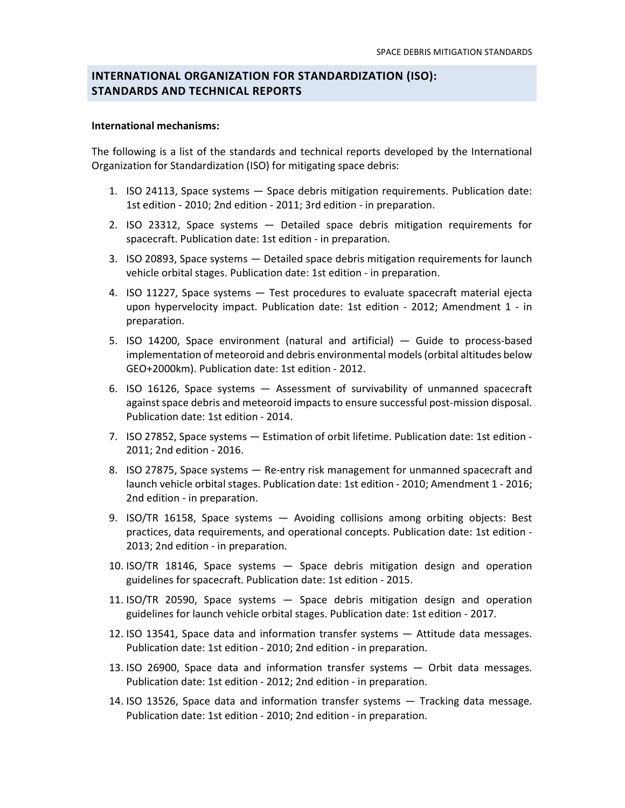# **INTERNATIONAL ORGANIZATION FOR STANDARDIZATION (ISO): STANDARDS AND TECHNICAL REPORTS**

#### **International mechanisms:**

The following is a list of the standards and technical reports developed by the International Organization for Standardization (ISO) for mitigating space debris:

- 1. ISO 24113, Space systems Space debris mitigation requirements. Publication date: 1st edition - 2010; 2nd edition - 2011; 3rd edition - in preparation.
- 2. ISO 23312, Space systems Detailed space debris mitigation requirements for spacecraft. Publication date: 1st edition - in preparation.
- 3. ISO 20893, Space systems Detailed space debris mitigation requirements for launch vehicle orbital stages. Publication date: 1st edition - in preparation.
- 4. ISO 11227, Space systems Test procedures to evaluate spacecraft material ejecta upon hypervelocity impact. Publication date: 1st edition - 2012; Amendment 1 - in preparation.
- 5. ISO 14200, Space environment (natural and artificial) Guide to process-based implementation of meteoroid and debris environmental models (orbital altitudes below GEO+2000km). Publication date: 1st edition - 2012.
- 6. ISO 16126, Space systems Assessment of survivability of unmanned spacecraft against space debris and meteoroid impacts to ensure successful post-mission disposal. Publication date: 1st edition - 2014.
- 7. ISO 27852, Space systems Estimation of orbit lifetime. Publication date: 1st edition 2011; 2nd edition - 2016.
- 8. ISO 27875, Space systems Re-entry risk management for unmanned spacecraft and launch vehicle orbital stages. Publication date: 1st edition - 2010; Amendment 1 - 2016; 2nd edition - in preparation.
- 9. ISO/TR 16158, Space systems Avoiding collisions among orbiting objects: Best practices, data requirements, and operational concepts. Publication date: 1st edition - 2013; 2nd edition - in preparation.
- 10. ISO/TR 18146, Space systems Space debris mitigation design and operation guidelines for spacecraft. Publication date: 1st edition - 2015.
- 11. ISO/TR 20590, Space systems Space debris mitigation design and operation guidelines for launch vehicle orbital stages. Publication date: 1st edition - 2017.
- 12. ISO 13541, Space data and information transfer systems Attitude data messages. Publication date: 1st edition - 2010; 2nd edition - in preparation.
- 13. ISO 26900, Space data and information transfer systems Orbit data messages. Publication date: 1st edition - 2012; 2nd edition - in preparation.
- 14. ISO 13526, Space data and information transfer systems Tracking data message. Publication date: 1st edition - 2010; 2nd edition - in preparation.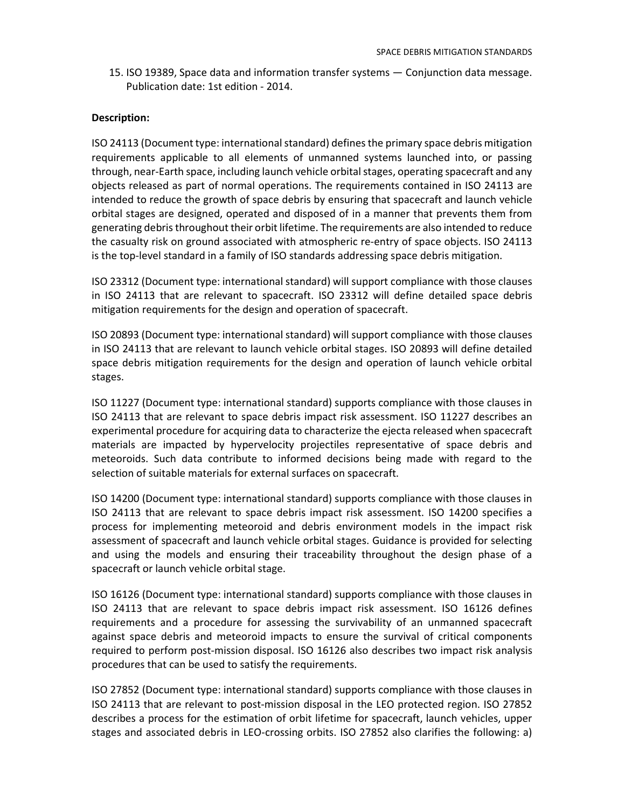15. ISO 19389, Space data and information transfer systems — Conjunction data message. Publication date: 1st edition - 2014.

### **Description:**

ISO 24113 (Document type: international standard) defines the primary space debris mitigation requirements applicable to all elements of unmanned systems launched into, or passing through, near-Earth space, including launch vehicle orbital stages, operating spacecraft and any objects released as part of normal operations. The requirements contained in ISO 24113 are intended to reduce the growth of space debris by ensuring that spacecraft and launch vehicle orbital stages are designed, operated and disposed of in a manner that prevents them from generating debris throughout their orbit lifetime. The requirements are also intended to reduce the casualty risk on ground associated with atmospheric re-entry of space objects. ISO 24113 is the top-level standard in a family of ISO standards addressing space debris mitigation.

ISO 23312 (Document type: international standard) will support compliance with those clauses in ISO 24113 that are relevant to spacecraft. ISO 23312 will define detailed space debris mitigation requirements for the design and operation of spacecraft.

ISO 20893 (Document type: international standard) will support compliance with those clauses in ISO 24113 that are relevant to launch vehicle orbital stages. ISO 20893 will define detailed space debris mitigation requirements for the design and operation of launch vehicle orbital stages.

ISO 11227 (Document type: international standard) supports compliance with those clauses in ISO 24113 that are relevant to space debris impact risk assessment. ISO 11227 describes an experimental procedure for acquiring data to characterize the ejecta released when spacecraft materials are impacted by hypervelocity projectiles representative of space debris and meteoroids. Such data contribute to informed decisions being made with regard to the selection of suitable materials for external surfaces on spacecraft.

ISO 14200 (Document type: international standard) supports compliance with those clauses in ISO 24113 that are relevant to space debris impact risk assessment. ISO 14200 specifies a process for implementing meteoroid and debris environment models in the impact risk assessment of spacecraft and launch vehicle orbital stages. Guidance is provided for selecting and using the models and ensuring their traceability throughout the design phase of a spacecraft or launch vehicle orbital stage.

ISO 16126 (Document type: international standard) supports compliance with those clauses in ISO 24113 that are relevant to space debris impact risk assessment. ISO 16126 defines requirements and a procedure for assessing the survivability of an unmanned spacecraft against space debris and meteoroid impacts to ensure the survival of critical components required to perform post-mission disposal. ISO 16126 also describes two impact risk analysis procedures that can be used to satisfy the requirements.

ISO 27852 (Document type: international standard) supports compliance with those clauses in ISO 24113 that are relevant to post-mission disposal in the LEO protected region. ISO 27852 describes a process for the estimation of orbit lifetime for spacecraft, launch vehicles, upper stages and associated debris in LEO-crossing orbits. ISO 27852 also clarifies the following: a)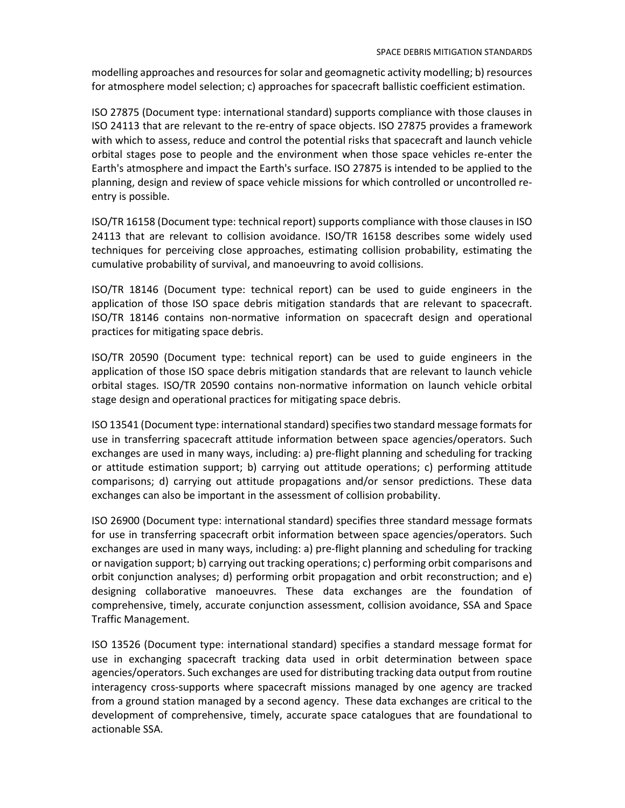modelling approaches and resources for solar and geomagnetic activity modelling; b) resources for atmosphere model selection; c) approaches for spacecraft ballistic coefficient estimation.

ISO 27875 (Document type: international standard) supports compliance with those clauses in ISO 24113 that are relevant to the re-entry of space objects. ISO 27875 provides a framework with which to assess, reduce and control the potential risks that spacecraft and launch vehicle orbital stages pose to people and the environment when those space vehicles re-enter the Earth's atmosphere and impact the Earth's surface. ISO 27875 is intended to be applied to the planning, design and review of space vehicle missions for which controlled or uncontrolled reentry is possible.

ISO/TR 16158 (Document type: technical report) supports compliance with those clauses in ISO 24113 that are relevant to collision avoidance. ISO/TR 16158 describes some widely used techniques for perceiving close approaches, estimating collision probability, estimating the cumulative probability of survival, and manoeuvring to avoid collisions.

ISO/TR 18146 (Document type: technical report) can be used to guide engineers in the application of those ISO space debris mitigation standards that are relevant to spacecraft. ISO/TR 18146 contains non-normative information on spacecraft design and operational practices for mitigating space debris.

ISO/TR 20590 (Document type: technical report) can be used to guide engineers in the application of those ISO space debris mitigation standards that are relevant to launch vehicle orbital stages. ISO/TR 20590 contains non-normative information on launch vehicle orbital stage design and operational practices for mitigating space debris.

ISO 13541 (Document type: international standard) specifies two standard message formats for use in transferring spacecraft attitude information between space agencies/operators. Such exchanges are used in many ways, including: a) pre-flight planning and scheduling for tracking or attitude estimation support; b) carrying out attitude operations; c) performing attitude comparisons; d) carrying out attitude propagations and/or sensor predictions. These data exchanges can also be important in the assessment of collision probability.

ISO 26900 (Document type: international standard) specifies three standard message formats for use in transferring spacecraft orbit information between space agencies/operators. Such exchanges are used in many ways, including: a) pre-flight planning and scheduling for tracking or navigation support; b) carrying out tracking operations; c) performing orbit comparisons and orbit conjunction analyses; d) performing orbit propagation and orbit reconstruction; and e) designing collaborative manoeuvres. These data exchanges are the foundation of comprehensive, timely, accurate conjunction assessment, collision avoidance, SSA and Space Traffic Management.

ISO 13526 (Document type: international standard) specifies a standard message format for use in exchanging spacecraft tracking data used in orbit determination between space agencies/operators. Such exchanges are used for distributing tracking data output from routine interagency cross-supports where spacecraft missions managed by one agency are tracked from a ground station managed by a second agency. These data exchanges are critical to the development of comprehensive, timely, accurate space catalogues that are foundational to actionable SSA.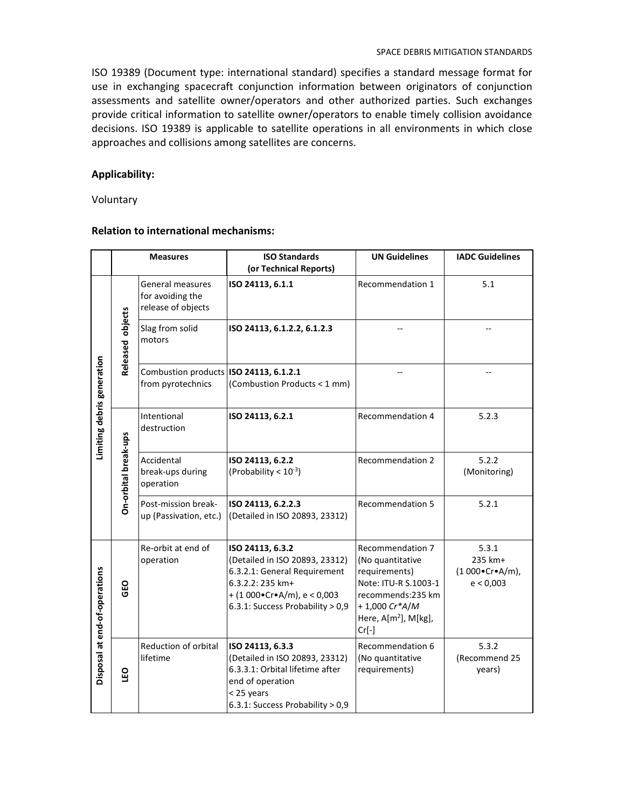ISO 19389 (Document type: international standard) specifies a standard message format for use in exchanging spacecraft conjunction information between originators of conjunction assessments and satellite owner/operators and other authorized parties. Such exchanges provide critical information to satellite owner/operators to enable timely collision avoidance decisions. ISO 19389 is applicable to satellite operations in all environments in which close approaches and collisions among satellites are concerns.

# **Applicability:**

**Voluntary** 

# **Relation to international mechanisms:**

|                               | <b>Measures</b>      |                                                             | <b>ISO Standards</b><br>(or Technical Reports)                                                                                                                                      | <b>UN Guidelines</b>                                                                                                                                           | <b>IADC Guidelines</b>                                         |
|-------------------------------|----------------------|-------------------------------------------------------------|-------------------------------------------------------------------------------------------------------------------------------------------------------------------------------------|----------------------------------------------------------------------------------------------------------------------------------------------------------------|----------------------------------------------------------------|
| Limiting debris generation    | Released objects     | General measures<br>for avoiding the<br>release of objects  | ISO 24113, 6.1.1                                                                                                                                                                    | Recommendation 1                                                                                                                                               | 5.1                                                            |
|                               |                      | Slag from solid<br>motors                                   | ISO 24113, 6.1.2.2, 6.1.2.3                                                                                                                                                         |                                                                                                                                                                |                                                                |
|                               |                      | Combustion products ISO 24113, 6.1.2.1<br>from pyrotechnics | (Combustion Products < 1 mm)                                                                                                                                                        |                                                                                                                                                                |                                                                |
|                               | On-orbital break-ups | Intentional<br>destruction                                  | ISO 24113, 6.2.1                                                                                                                                                                    | Recommendation 4                                                                                                                                               | 5.2.3                                                          |
|                               |                      | Accidental<br>break-ups during<br>operation                 | ISO 24113, 6.2.2<br>(Probability < $10^{-3}$ )                                                                                                                                      | <b>Recommendation 2</b>                                                                                                                                        | 5.2.2<br>(Monitoring)                                          |
|                               |                      | Post-mission break-<br>up (Passivation, etc.)               | ISO 24113, 6.2.2.3<br>(Detailed in ISO 20893, 23312)                                                                                                                                | <b>Recommendation 5</b>                                                                                                                                        | 5.2.1                                                          |
| Disposal at end-of-operations | GEO                  | Re-orbit at end of<br>operation                             | ISO 24113, 6.3.2<br>(Detailed in ISO 20893, 23312)<br>6.3.2.1: General Requirement<br>6.3.2.2: 235 km+<br>$+(1000\cdot Cr\cdot A/m), e < 0,003$<br>6.3.1: Success Probability > 0,9 | Recommendation 7<br>(No quantitative<br>requirements)<br>Note: ITU-R S.1003-1<br>recommends:235 km<br>$+1,000 Cr*A/M$<br>Here, $A[m^2]$ , $M[kg]$ ,<br>$Cr[-]$ | 5.3.1<br>235 km+<br>$(1000 \cdot Cr \cdot A/m)$ ,<br>e < 0,003 |
|                               | <b>Dan</b>           | Reduction of orbital<br>lifetime                            | ISO 24113, 6.3.3<br>(Detailed in ISO 20893, 23312)<br>6.3.3.1: Orbital lifetime after<br>end of operation<br>< 25 years<br>6.3.1: Success Probability > 0,9                         | Recommendation 6<br>(No quantitative<br>requirements)                                                                                                          | 5.3.2<br>(Recommend 25<br>years)                               |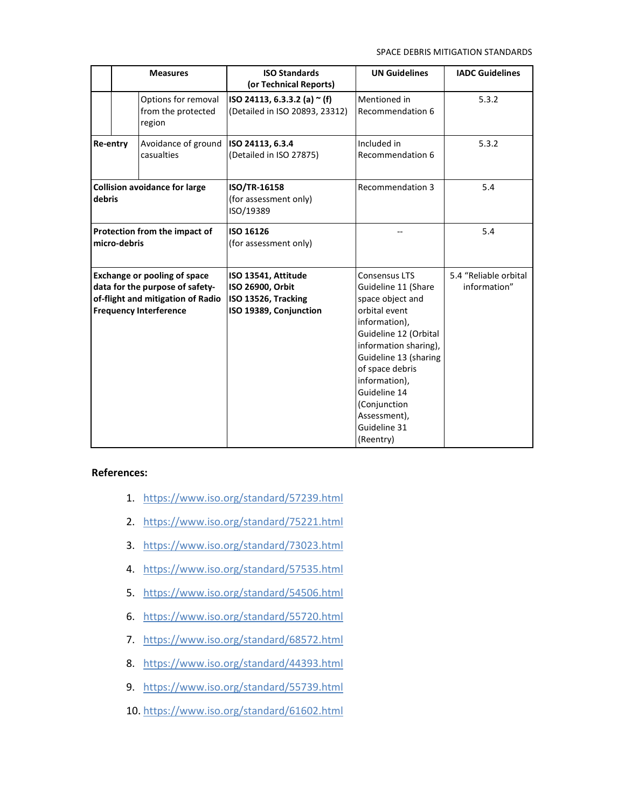SPACE DEBRIS MITIGATION STANDARDS

|                                                                                                                                              | <b>Measures</b> |                                                     | <b>ISO Standards</b><br>(or Technical Reports)                                           | <b>UN Guidelines</b>                                                                                                                                                                                                                                                                   | <b>IADC Guidelines</b>                |
|----------------------------------------------------------------------------------------------------------------------------------------------|-----------------|-----------------------------------------------------|------------------------------------------------------------------------------------------|----------------------------------------------------------------------------------------------------------------------------------------------------------------------------------------------------------------------------------------------------------------------------------------|---------------------------------------|
|                                                                                                                                              |                 | Options for removal<br>from the protected<br>region | ISO 24113, 6.3.3.2 (a) $\sim$ (f)<br>(Detailed in ISO 20893, 23312)                      | Mentioned in<br>Recommendation 6                                                                                                                                                                                                                                                       | 5.3.2                                 |
| Re-entry                                                                                                                                     |                 | Avoidance of ground<br>casualties                   | ISO 24113, 6.3.4<br>(Detailed in ISO 27875)                                              | Included in<br>Recommendation 6                                                                                                                                                                                                                                                        | 5.3.2                                 |
| <b>Collision avoidance for large</b><br>debris                                                                                               |                 |                                                     | <b>ISO/TR-16158</b><br>(for assessment only)<br>ISO/19389                                | Recommendation 3                                                                                                                                                                                                                                                                       | 5.4                                   |
| Protection from the impact of<br>micro-debris                                                                                                |                 |                                                     | ISO 16126<br>(for assessment only)                                                       |                                                                                                                                                                                                                                                                                        | 5.4                                   |
| <b>Exchange or pooling of space</b><br>data for the purpose of safety-<br>of-flight and mitigation of Radio<br><b>Frequency Interference</b> |                 |                                                     | ISO 13541, Attitude<br>ISO 26900, Orbit<br>ISO 13526, Tracking<br>ISO 19389, Conjunction | Consensus LTS<br>Guideline 11 (Share<br>space object and<br>orbital event<br>information),<br>Guideline 12 (Orbital<br>information sharing),<br>Guideline 13 (sharing<br>of space debris<br>information),<br>Guideline 14<br>(Conjunction<br>Assessment),<br>Guideline 31<br>(Reentry) | 5.4 "Reliable orbital<br>information" |

### **References:**

- 1. https://www.iso.org/standard/57239.html
- 2. https://www.iso.org/standard/75221.html
- 3. https://www.iso.org/standard/73023.html
- 4. https://www.iso.org/standard/57535.html
- 5. https://www.iso.org/standard/54506.html
- 6. https://www.iso.org/standard/55720.html
- 7. https://www.iso.org/standard/68572.html
- 8. https://www.iso.org/standard/44393.html
- 9. https://www.iso.org/standard/55739.html
- 10. https://www.iso.org/standard/61602.html